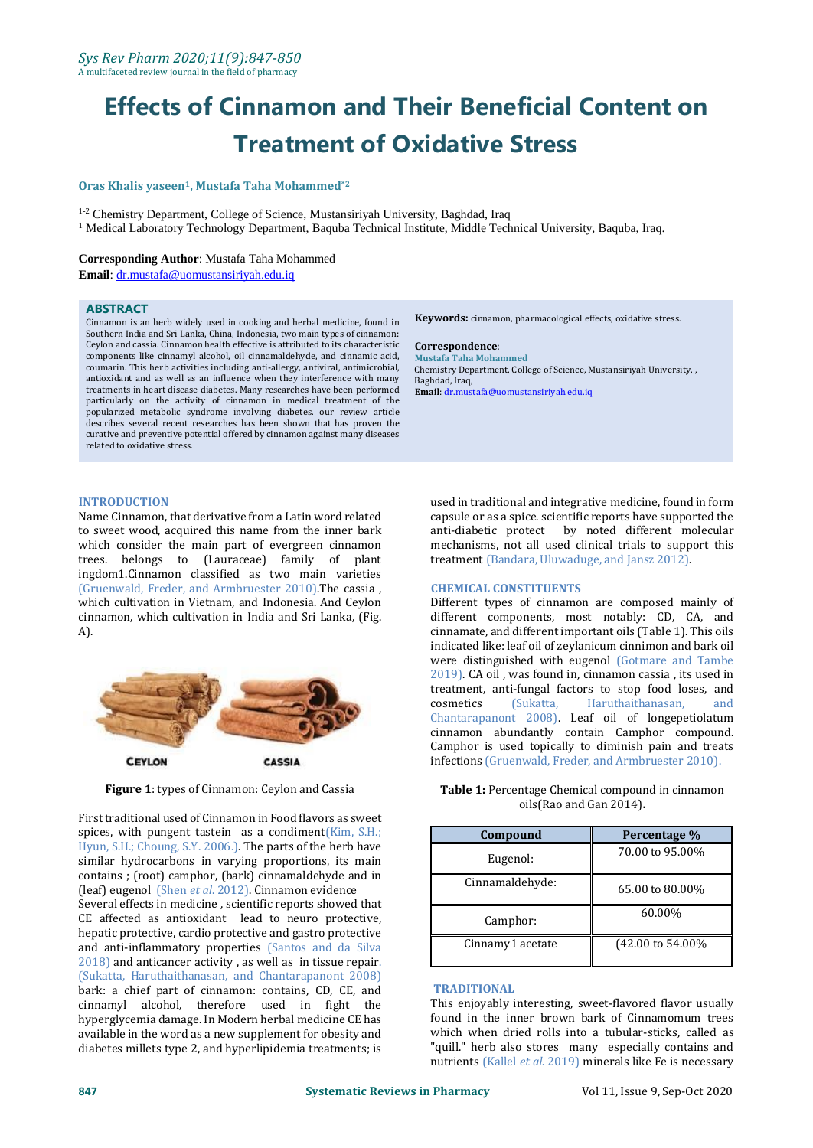# **Effects of Cinnamon and Their Beneficial Content on Treatment of Oxidative Stress**

# **Oras Khalis yaseen1, Mustafa Taha Mohammed\*2**

<sup>1-2</sup> Chemistry Department, College of Science, Mustansiriyah University, Baghdad, Iraq

<sup>1</sup> Medical Laboratory Technology Department, Baquba Technical Institute, Middle Technical University, Baquba, Iraq.

## **Corresponding Author**: Mustafa Taha Mohammed

**Email**[: dr.mustafa@uomustansiriyah.edu.iq](mailto:dr.mustafa@uomustansiriyah.edu.iq)

#### **ABSTRACT**

Cinnamon is an herb widely used in cooking and herbal medicine, found in Southern India and Sri Lanka, China, Indonesia, two main types of cinnamon: Ceylon and cassia. Cinnamon health effective is attributed to its characteristic components like cinnamyl alcohol, oil cinnamaldehyde, and cinnamic acid, coumarin. This herb activities including anti-allergy, antiviral, antimicrobial, antioxidant and as well as an influence when they interference with many treatments in heart disease diabetes. Many researches have been performed particularly on the activity of cinnamon in medical treatment of the popularized metabolic syndrome involving diabetes. our review article describes several recent researches has been shown that has proven the curative and preventive potential offered by cinnamon against many diseases related to oxidative stress.

# **INTRODUCTION**

Name Cinnamon, that derivative from a Latin word related to sweet wood, acquired this name from the inner bark which consider the main part of evergreen cinnamon trees. belongs to (Lauraceae) family of plant ingdom1.Cinnamon classified as two main varieties (Gruenwald, Freder, and Armbruester 2010).The cassia , which cultivation in Vietnam, and Indonesia. And Ceylon cinnamon, which cultivation in India and Sri Lanka, (Fig. A).



**Figure 1**: types of Cinnamon: Ceylon and Cassia

First traditional used of Cinnamon in Food flavors as sweet spices, with pungent tastein as a condiment(Kim, S.H.; Hyun, S.H.; Choung, S.Y. 2006.). The parts of the herb have similar hydrocarbons in varying proportions, its main contains ; (root) camphor, (bark) cinnamaldehyde and in (leaf) eugenol (Shen *et al*. 2012). Cinnamon evidence Several effects in medicine , scientific reports showed that CE affected as antioxidant lead to neuro protective, hepatic protective, cardio protective and gastro protective and anti-inflammatory properties (Santos and da Silva 2018) and anticancer activity , as well as in tissue repair. (Sukatta, Haruthaithanasan, and Chantarapanont 2008) bark: a chief part of cinnamon: contains, CD, CE, and cinnamyl alcohol, therefore used in fight the hyperglycemia damage. In Modern herbal medicine CE has available in the word as a new supplement for obesity and diabetes millets type 2, and hyperlipidemia treatments; is

**Keywords:** cinnamon, pharmacological effects, oxidative stress.

### **Correspondence**:

**Mustafa Taha Mohammed** Chemistry Department, College of Science, Mustansiriyah University, , Baghdad, Iraq, **Email**[: dr.mustafa@uomustansiriyah.edu.iq](mailto:dr.mustafa@uomustansiriyah.edu.iq)

used in traditional and integrative medicine, found in form capsule or as a spice. scientific reports have supported the anti-diabetic protect by noted different molecular mechanisms, not all used clinical trials to support this treatment (Bandara, Uluwaduge, and Jansz 2012).

## **CHEMICAL CONSTITUENTS**

Different types of cinnamon are composed mainly of different components, most notably: CD, CA, and cinnamate, and different important oils (Table 1). This oils indicated like: leaf oil of zeylanicum cinnimon and bark oil were distinguished with eugenol (Gotmare and Tambe 2019). CA oil , was found in, cinnamon cassia , its used in treatment, anti-fungal factors to stop food loses, and cosmetics (Sukatta, Haruthaithanasan, and Chantarapanont 2008). Leaf oil of longepetiolatum cinnamon abundantly contain Camphor compound. Camphor is used topically to diminish pain and treats infections (Gruenwald, Freder, and Armbruester 2010).

## **Table 1:** Percentage Chemical compound in cinnamon oils(Rao and Gan 2014)**.**

| Compound         | Percentage %      |
|------------------|-------------------|
| Eugenol:         | 70.00 to 95.00%   |
| Cinnamaldehyde:  | 65.00 to 80.00%   |
| Camphor:         | 60.00%            |
| Cinnamy1 acetate | (42.00 to 54.00%) |

### **TRADITIONAL**

This enjoyably interesting, sweet-flavored flavor usually found in the inner brown bark of Cinnamomum trees which when dried rolls into a tubular-sticks, called as "quill." herb also stores many especially contains and nutrients (Kallel *et al*. 2019) minerals like Fe is necessary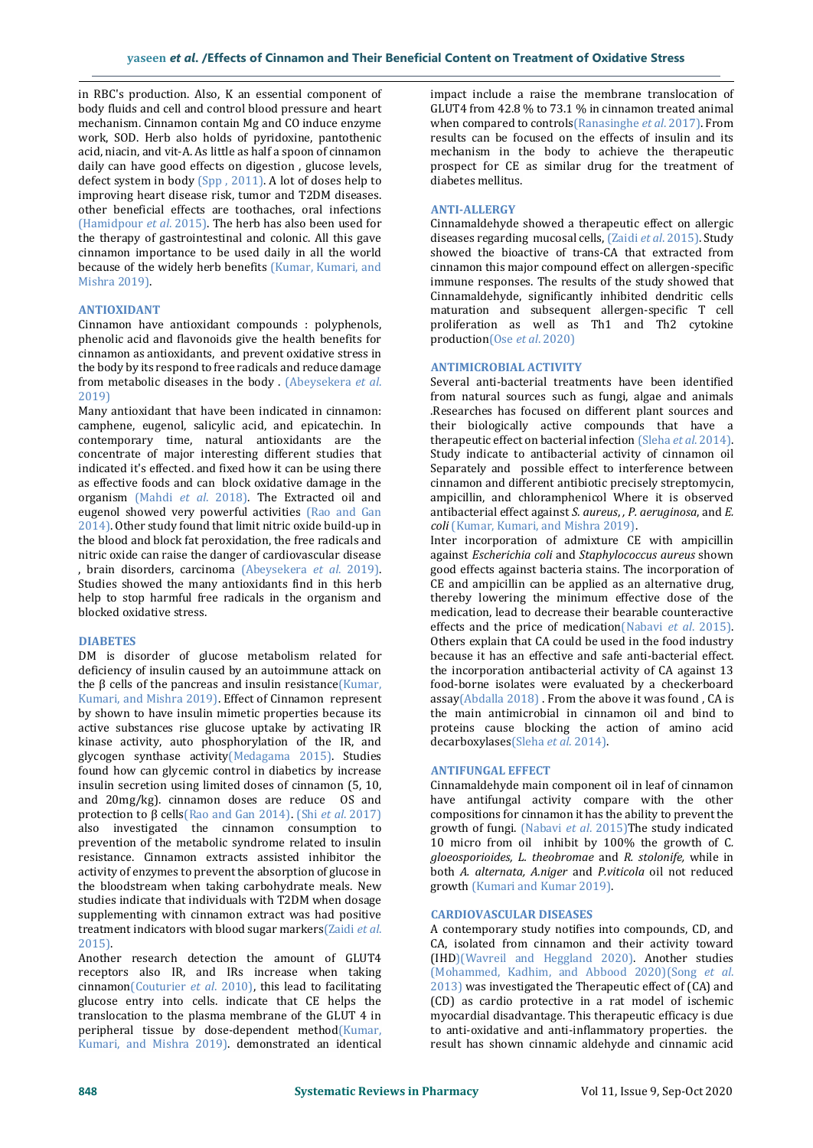in RBC's production. Also, K an essential component of body fluids and cell and control blood pressure and heart mechanism. Cinnamon contain Mg and CO induce enzyme work, SOD. Herb also holds of pyridoxine, pantothenic acid, niacin, and vit-A. As little as half a spoon of cinnamon daily can have good effects on digestion , glucose levels, defect system in body (Spp , 2011). A lot of doses help to improving heart disease risk, tumor and T2DM diseases. other beneficial effects are toothaches, oral infections (Hamidpour *et al*. 2015). The herb has also been used for the therapy of gastrointestinal and colonic. All this gave cinnamon importance to be used daily in all the world because of the widely herb benefits (Kumar, Kumari, and Mishra 2019).

# **ANTIOXIDANT**

Cinnamon have antioxidant compounds : polyphenols, phenolic acid and flavonoids give the health benefits for cinnamon as antioxidants, and prevent oxidative stress in the body by its respond to free radicals and reduce damage from metabolic diseases in the body . (Abeysekera *et al*. 2019)

Many antioxidant that have been indicated in cinnamon: camphene, eugenol, salicylic acid, and epicatechin. In contemporary time, natural antioxidants are the concentrate of major interesting different studies that indicated it's effected. and fixed how it can be using there as effective foods and can block oxidative damage in the organism (Mahdi *et al*. 2018). The Extracted oil and eugenol showed very powerful activities (Rao and Gan 2014). Other study found that limit nitric oxide build-up in the blood and block fat peroxidation, the free radicals and nitric oxide can raise the danger of cardiovascular disease , brain disorders, carcinoma (Abeysekera *et al*. 2019). Studies showed the many antioxidants find in this herb help to stop harmful free radicals in the organism and blocked oxidative stress.

# **DIABETES**

DM is disorder of glucose metabolism related for deficiency of insulin caused by an autoimmune attack on the β cells of the pancreas and insulin resistance(Kumar, Kumari, and Mishra 2019). Effect of Cinnamon represent by shown to have insulin mimetic properties because its active substances rise glucose uptake by activating IR kinase activity, auto phosphorylation of the IR, and glycogen synthase activity(Medagama 2015). Studies found how can glycemic control in diabetics by increase insulin secretion using limited doses of cinnamon (5, 10, and 20mg/kg). cinnamon doses are reduce OS and protection to β cells(Rao and Gan 2014). (Shi *et al*. 2017) also investigated the cinnamon consumption to prevention of the metabolic syndrome related to insulin resistance. Cinnamon extracts assisted inhibitor the activity of enzymes to prevent the absorption of glucose in the bloodstream when taking carbohydrate meals. New studies indicate that individuals with T2DM when dosage supplementing with cinnamon extract was had positive treatment indicators with blood sugar markers(Zaidi *et al*. 2015).

Another research detection the amount of GLUT4 receptors also IR, and IRs increase when taking cinnamon(Couturier *et al*. 2010), this lead to facilitating glucose entry into cells. indicate that CE helps the translocation to the plasma membrane of the GLUT 4 in peripheral tissue by dose-dependent method(Kumar, Kumari, and Mishra 2019). demonstrated an identical

impact include a raise the membrane translocation of GLUT4 from 42.8 % to 73.1 % in cinnamon treated animal when compared to controls(Ranasinghe *et al*. 2017). From results can be focused on the effects of insulin and its mechanism in the body to achieve the therapeutic prospect for CE as similar drug for the treatment of diabetes mellitus.

# **ANTI-ALLERGY**

Cinnamaldehyde showed a therapeutic effect on allergic diseases regarding mucosal cells, (Zaidi *et al*. 2015). Study showed the bioactive of trans-CA that extracted from cinnamon this major compound effect on allergen-specific immune responses. The results of the study showed that Cinnamaldehyde, significantly inhibited dendritic cells maturation and subsequent allergen-specific T cell proliferation as well as Th1 and Th2 cytokine production(Ose *et al*. 2020)

# **ANTIMICROBIAL ACTIVITY**

Several anti-bacterial treatments have been identified from natural sources such as fungi, algae and animals .Researches has focused on different plant sources and their biologically active compounds that have a therapeutic effect on bacterial infection (Sleha *et al*. 2014). Study indicate to antibacterial activity of cinnamon oil Separately and possible effect to interference between cinnamon and different antibiotic precisely streptomycin, ampicillin, and chloramphenicol Where it is observed antibacterial effect against *S. aureus*, *, P. aeruginosa*, and *E. coli* (Kumar, Kumari, and Mishra 2019).

Inter incorporation of admixture CE with ampicillin against *Escherichia coli* and *Staphylococcus aureus* shown good effects against bacteria stains. The incorporation of CE and ampicillin can be applied as an alternative drug, thereby lowering the minimum effective dose of the medication, lead to decrease their bearable counteractive effects and the price of medication(Nabavi *et al*. 2015). Others explain that CA could be used in the food industry because it has an effective and safe anti-bacterial effect. the incorporation antibacterial activity of CA against 13 food-borne isolates were evaluated by a checkerboard assay(Abdalla 2018) . From the above it was found , CA is the main antimicrobial in cinnamon oil and bind to proteins cause blocking the action of amino acid decarboxylases(Sleha *et al*. 2014).

### **ANTIFUNGAL EFFECT**

Cinnamaldehyde main component oil in leaf of cinnamon have antifungal activity compare with the other compositions for cinnamon it has the ability to prevent the growth of fungi. (Nabavi *et al*. 2015)The study indicated 10 micro from oil inhibit by 100% the growth of C*. gloeosporioides, L. theobromae* and *R. stolonife,* while in both *A. alternata, A.niger* and *P.viticola* oil not reduced growth (Kumari and Kumar 2019).

## **CARDIOVASCULAR DISEASES**

A contemporary study notifies into compounds, CD, and CA, isolated from cinnamon and their activity toward (IHD)(Wavreil and Heggland 2020). Another studies (Mohammed, Kadhim, and Abbood 2020)(Song *et al*. 2013) was investigated the Therapeutic effect of (CA) and (CD) as cardio protective in a rat model of ischemic myocardial disadvantage. This therapeutic efficacy is due to anti-oxidative and anti-inflammatory properties. the result has shown cinnamic aldehyde and cinnamic acid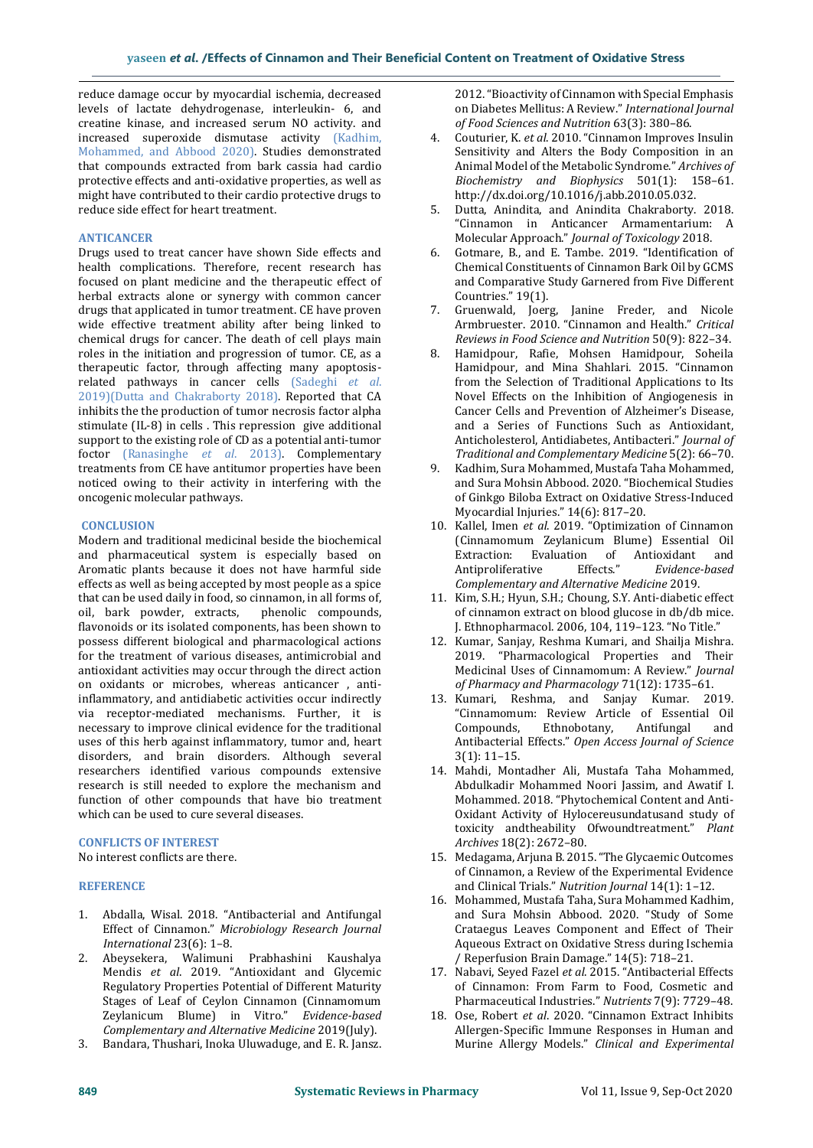reduce damage occur by myocardial ischemia, decreased levels of lactate dehydrogenase, interleukin- 6, and creatine kinase, and increased serum NO activity. and increased superoxide dismutase activity (Kadhim, Mohammed, and Abbood 2020). Studies demonstrated that compounds extracted from bark cassia had cardio protective effects and anti-oxidative properties, as well as might have contributed to their cardio protective drugs to reduce side effect for heart treatment.

# **ANTICANCER**

Drugs used to treat cancer have shown Side effects and health complications. Therefore, recent research has focused on plant medicine and the therapeutic effect of herbal extracts alone or synergy with common cancer drugs that applicated in tumor treatment. CE have proven wide effective treatment ability after being linked to chemical drugs for cancer. The death of cell plays main roles in the initiation and progression of tumor. CE, as a therapeutic factor, through affecting many apoptosisrelated pathways in cancer cells (Sadeghi *et al*. 2019)(Dutta and Chakraborty 2018). Reported that CA inhibits the the production of tumor necrosis factor alpha stimulate (IL-8) in cells . This repression give additional support to the existing role of CD as a potential anti-tumor foctor (Ranasinghe *et al*. 2013). Complementary treatments from CE have antitumor properties have been noticed owing to their activity in interfering with the oncogenic molecular pathways.

# **CONCLUSION**

Modern and traditional medicinal beside the biochemical and pharmaceutical system is especially based on Aromatic plants because it does not have harmful side effects as well as being accepted by most people as a spice that can be used daily in food, so cinnamon, in all forms of, oil, bark powder, extracts, phenolic compounds, flavonoids or its isolated components, has been shown to possess different biological and pharmacological actions for the treatment of various diseases, antimicrobial and antioxidant activities may occur through the direct action on oxidants or microbes, whereas anticancer , antiinflammatory, and antidiabetic activities occur indirectly via receptor-mediated mechanisms. Further, it is necessary to improve clinical evidence for the traditional uses of this herb against inflammatory, tumor and, heart disorders, and brain disorders. Although several researchers identified various compounds extensive research is still needed to explore the mechanism and function of other compounds that have bio treatment which can be used to cure several diseases.

# **CONFLICTS OF INTEREST**

No interest conflicts are there.

## **REFERENCE**

- 1. Abdalla, Wisal. 2018. "Antibacterial and Antifungal Effect of Cinnamon." *Microbiology Research Journal International* 23(6): 1–8.
- 2. Abeysekera, Walimuni Prabhashini Kaushalya Mendis *et al*. 2019. "Antioxidant and Glycemic Regulatory Properties Potential of Different Maturity Stages of Leaf of Ceylon Cinnamon (Cinnamomum Zeylanicum Blume) in Vitro." *Evidence-based Complementary and Alternative Medicine* 2019(July).
- 3. Bandara, Thushari, Inoka Uluwaduge, and E. R. Jansz.

2012. "Bioactivity of Cinnamon with Special Emphasis on Diabetes Mellitus: A Review." *International Journal of Food Sciences and Nutrition* 63(3): 380–86.

- 4. Couturier, K. *et al*. 2010. "Cinnamon Improves Insulin Sensitivity and Alters the Body Composition in an Animal Model of the Metabolic Syndrome." *Archives of Biochemistry and Biophysics* 501(1): 158–61. http://dx.doi.org/10.1016/j.abb.2010.05.032.
- 5. Dutta, Anindita, and Anindita Chakraborty. 2018. "Cinnamon in Anticancer Armamentarium: A Molecular Approach." *Journal of Toxicology* 2018.
- 6. Gotmare, B., and E. Tambe. 2019. "Identification of Chemical Constituents of Cinnamon Bark Oil by GCMS and Comparative Study Garnered from Five Different Countries." 19(1).
- 7. Gruenwald, Joerg, Janine Freder, and Nicole Armbruester. 2010. "Cinnamon and Health." *Critical Reviews in Food Science and Nutrition* 50(9): 822–34.
- 8. Hamidpour, Rafie, Mohsen Hamidpour, Soheila Hamidpour, and Mina Shahlari. 2015. "Cinnamon from the Selection of Traditional Applications to Its Novel Effects on the Inhibition of Angiogenesis in Cancer Cells and Prevention of Alzheimer's Disease, and a Series of Functions Such as Antioxidant, Anticholesterol, Antidiabetes, Antibacteri." *Journal of Traditional and Complementary Medicine* 5(2): 66–70.
- 9. Kadhim, Sura Mohammed, Mustafa Taha Mohammed, and Sura Mohsin Abbood. 2020. "Biochemical Studies of Ginkgo Biloba Extract on Oxidative Stress-Induced Myocardial Injuries." 14(6): 817–20.
- 10. Kallel, Imen *et al*. 2019. "Optimization of Cinnamon (Cinnamomum Zeylanicum Blume) Essential Oil Extraction: Evaluation of Antioxidant and Antiproliferative Effects." *Evidence-based Complementary and Alternative Medicine* 2019.
- 11. Kim, S.H.; Hyun, S.H.; Choung, S.Y. Anti-diabetic effect of cinnamon extract on blood glucose in db/db mice. J. Ethnopharmacol. 2006, 104, 119–123. "No Title."
- 12. Kumar, Sanjay, Reshma Kumari, and Shailja Mishra. 2019. "Pharmacological Properties and Their Medicinal Uses of Cinnamomum: A Review." *Journal of Pharmacy and Pharmacology* 71(12): 1735–61.
- 13. Kumari, Reshma, and Sanjay Kumar. 2019. "Cinnamomum: Review Article of Essential Oil Compounds, Ethnobotany, Antifungal and Antibacterial Effects." *Open Access Journal of Science* 3(1): 11–15.
- 14. Mahdi, Montadher Ali, Mustafa Taha Mohammed, Abdulkadir Mohammed Noori Jassim, and Awatif I. Mohammed. 2018. "Phytochemical Content and Anti-Oxidant Activity of Hylocereusundatusand study of toxicity andtheability Ofwoundtreatment." *Plant Archives* 18(2): 2672–80.
- 15. Medagama, Arjuna B. 2015. "The Glycaemic Outcomes of Cinnamon, a Review of the Experimental Evidence and Clinical Trials." *Nutrition Journal* 14(1): 1–12.
- 16. Mohammed, Mustafa Taha, Sura Mohammed Kadhim, and Sura Mohsin Abbood. 2020. "Study of Some Crataegus Leaves Component and Effect of Their Aqueous Extract on Oxidative Stress during Ischemia / Reperfusion Brain Damage." 14(5): 718–21.
- 17. Nabavi, Seyed Fazel *et al*. 2015. "Antibacterial Effects of Cinnamon: From Farm to Food, Cosmetic and Pharmaceutical Industries." *Nutrients* 7(9): 7729–48.
- 18. Ose, Robert *et al*. 2020. "Cinnamon Extract Inhibits Allergen-Specific Immune Responses in Human and Murine Allergy Models." *Clinical and Experimental*